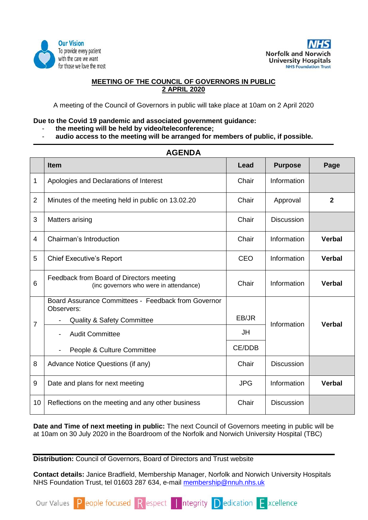



# **MEETING OF THE COUNCIL OF GOVERNORS IN PUBLIC 2 APRIL 2020**

A meeting of the Council of Governors in public will take place at 10am on 2 April 2020

### **Due to the Covid 19 pandemic and associated government guidance:**

- **the meeting will be held by video/teleconference;**
- **audio access to the meeting will be arranged for members of public, if possible.**

| <b>AGENDA</b>  |                                                                                    |            |                              |                |  |
|----------------|------------------------------------------------------------------------------------|------------|------------------------------|----------------|--|
|                | <b>Item</b>                                                                        | Lead       | <b>Purpose</b>               | Page           |  |
| 1              | Apologies and Declarations of Interest                                             | Chair      | Information                  |                |  |
| $\overline{2}$ | Minutes of the meeting held in public on 13.02.20                                  | Chair      | Approval                     | $\overline{2}$ |  |
| 3              | Matters arising                                                                    | Chair      | <b>Discussion</b>            |                |  |
| $\overline{4}$ | Chairman's Introduction                                                            | Chair      | Information                  | <b>Verbal</b>  |  |
| 5              | <b>Chief Executive's Report</b>                                                    | <b>CEO</b> | Information                  | <b>Verbal</b>  |  |
| 6              | Feedback from Board of Directors meeting<br>(inc governors who were in attendance) | Chair      | Information                  | <b>Verbal</b>  |  |
| $\overline{7}$ | Board Assurance Committees - Feedback from Governor<br>Observers:                  |            |                              |                |  |
|                | <b>Quality &amp; Safety Committee</b>                                              | EB/JR      | Information<br><b>Verbal</b> |                |  |
|                | <b>Audit Committee</b>                                                             | JH         |                              |                |  |
|                | People & Culture Committee                                                         | CE/DDB     |                              |                |  |
| 8              | Advance Notice Questions (if any)                                                  | Chair      | <b>Discussion</b>            |                |  |
| 9              | Date and plans for next meeting                                                    | <b>JPG</b> | Information                  | <b>Verbal</b>  |  |
| 10             | Reflections on the meeting and any other business                                  | Chair      | <b>Discussion</b>            |                |  |

**Date and Time of next meeting in public:** The next Council of Governors meeting in public will be at 10am on 30 July 2020 in the Boardroom of the Norfolk and Norwich University Hospital (TBC)

**Distribution:** Council of Governors, Board of Directors and Trust website

**Contact details:** Janice Bradfield, Membership Manager, Norfolk and Norwich University Hospitals NHS Foundation Trust, tel 01603 287 634, e-mail [membership@nnuh.nhs.uk](mailto:membership@nnuh.nhs.uk)

Our Values P eople focused R espect | ntegrity D edication F xcellence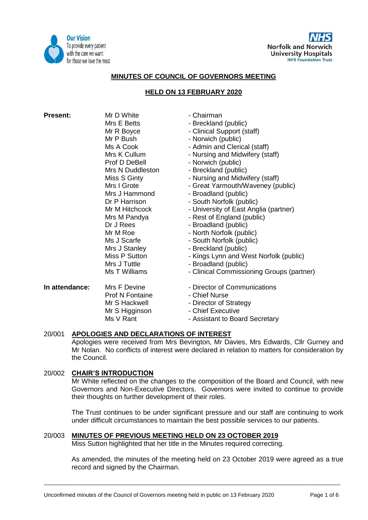



### **MINUTES OF COUNCIL OF GOVERNORS MEETING**

### **HELD ON 13 FEBRUARY 2020**

| <b>Present:</b> | Mr D White       | - Chairman                                |
|-----------------|------------------|-------------------------------------------|
|                 | Mrs E Betts      | - Breckland (public)                      |
|                 | Mr R Boyce       | - Clinical Support (staff)                |
|                 | Mr P Bush        | - Norwich (public)                        |
|                 | Ms A Cook        | - Admin and Clerical (staff)              |
|                 | Mrs K Cullum     | - Nursing and Midwifery (staff)           |
|                 | Prof D DeBell    | - Norwich (public)                        |
|                 | Mrs N Duddleston | - Breckland (public)                      |
|                 | Miss S Ginty     | - Nursing and Midwifery (staff)           |
|                 | Mrs I Grote      | - Great Yarmouth/Waveney (public)         |
|                 | Mrs J Hammond    | - Broadland (public)                      |
|                 | Dr P Harrison    | - South Norfolk (public)                  |
|                 | Mr M Hitchcock   | - University of East Anglia (partner)     |
|                 | Mrs M Pandya     | - Rest of England (public)                |
|                 | Dr J Rees        | - Broadland (public)                      |
|                 | Mr M Roe         | - North Norfolk (public)                  |
|                 | Ms J Scarfe      | - South Norfolk (public)                  |
|                 | Mrs J Stanley    | - Breckland (public)                      |
|                 | Miss P Sutton    | - Kings Lynn and West Norfolk (public)    |
|                 | Mrs J Tuttle     | - Broadland (public)                      |
|                 | Ms T Williams    | - Clinical Commissioning Groups (partner) |
| In attendance:  | Mrs F Devine     | - Director of Communications              |
|                 | Prof N Fontaine  | - Chief Nurse                             |
|                 | Mr S Hackwell    | - Director of Strategy                    |
|                 | Mr S Higginson   | - Chief Executive                         |
|                 | Ms V Rant        | - Assistant to Board Secretary            |
|                 |                  |                                           |

#### 20/001 **APOLOGIES AND DECLARATIONS OF INTEREST**

Apologies were received from Mrs Bevington, Mr Davies, Mrs Edwards, Cllr Gurney and Mr Nolan. No conflicts of interest were declared in relation to matters for consideration by the Council.

## 20/002 **CHAIR'S INTRODUCTION**

Mr White reflected on the changes to the composition of the Board and Council, with new Governors and Non-Executive Directors. Governors were invited to continue to provide their thoughts on further development of their roles.

The Trust continues to be under significant pressure and our staff are continuing to work under difficult circumstances to maintain the best possible services to our patients.

# 20/003 **MINUTES OF PREVIOUS MEETING HELD ON 23 OCTOBER 2019**

Miss Sutton highlighted that her title in the Minutes required correcting.

As amended, the minutes of the meeting held on 23 October 2019 were agreed as a true record and signed by the Chairman.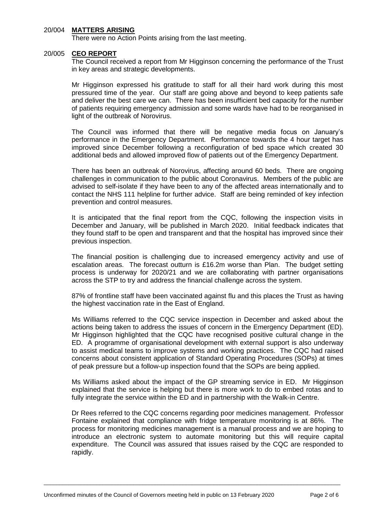## 20/004 **MATTERS ARISING**

There were no Action Points arising from the last meeting.

#### 20/005 **CEO REPORT**

The Council received a report from Mr Higginson concerning the performance of the Trust in key areas and strategic developments.

Mr Higginson expressed his gratitude to staff for all their hard work during this most pressured time of the year. Our staff are going above and beyond to keep patients safe and deliver the best care we can. There has been insufficient bed capacity for the number of patients requiring emergency admission and some wards have had to be reorganised in light of the outbreak of Norovirus.

The Council was informed that there will be negative media focus on January's performance in the Emergency Department. Performance towards the 4 hour target has improved since December following a reconfiguration of bed space which created 30 additional beds and allowed improved flow of patients out of the Emergency Department.

There has been an outbreak of Norovirus, affecting around 60 beds. There are ongoing challenges in communication to the public about Coronavirus. Members of the public are advised to self-isolate if they have been to any of the affected areas internationally and to contact the NHS 111 helpline for further advice. Staff are being reminded of key infection prevention and control measures.

It is anticipated that the final report from the CQC, following the inspection visits in December and January, will be published in March 2020. Initial feedback indicates that they found staff to be open and transparent and that the hospital has improved since their previous inspection.

The financial position is challenging due to increased emergency activity and use of escalation areas. The forecast outturn is £16.2m worse than Plan. The budget setting process is underway for 2020/21 and we are collaborating with partner organisations across the STP to try and address the financial challenge across the system.

87% of frontline staff have been vaccinated against flu and this places the Trust as having the highest vaccination rate in the East of England.

Ms Williams referred to the CQC service inspection in December and asked about the actions being taken to address the issues of concern in the Emergency Department (ED). Mr Higginson highlighted that the CQC have recognised positive cultural change in the ED. A programme of organisational development with external support is also underway to assist medical teams to improve systems and working practices. The CQC had raised concerns about consistent application of Standard Operating Procedures (SOPs) at times of peak pressure but a follow-up inspection found that the SOPs are being applied.

Ms Williams asked about the impact of the GP streaming service in ED. Mr Higginson explained that the service is helping but there is more work to do to embed rotas and to fully integrate the service within the ED and in partnership with the Walk-in Centre.

Dr Rees referred to the CQC concerns regarding poor medicines management. Professor Fontaine explained that compliance with fridge temperature monitoring is at 86%. The process for monitoring medicines management is a manual process and we are hoping to introduce an electronic system to automate monitoring but this will require capital expenditure. The Council was assured that issues raised by the CQC are responded to rapidly.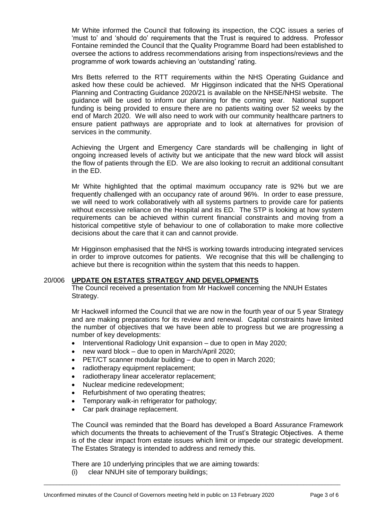Mr White informed the Council that following its inspection, the CQC issues a series of 'must to' and 'should do' requirements that the Trust is required to address. Professor Fontaine reminded the Council that the Quality Programme Board had been established to oversee the actions to address recommendations arising from inspections/reviews and the programme of work towards achieving an 'outstanding' rating.

Mrs Betts referred to the RTT requirements within the NHS Operating Guidance and asked how these could be achieved. Mr Higginson indicated that the NHS Operational Planning and Contracting Guidance 2020/21 is available on the NHSE/NHSI website. The guidance will be used to inform our planning for the coming year. National support funding is being provided to ensure there are no patients waiting over 52 weeks by the end of March 2020. We will also need to work with our community healthcare partners to ensure patient pathways are appropriate and to look at alternatives for provision of services in the community.

Achieving the Urgent and Emergency Care standards will be challenging in light of ongoing increased levels of activity but we anticipate that the new ward block will assist the flow of patients through the ED. We are also looking to recruit an additional consultant in the ED.

Mr White highlighted that the optimal maximum occupancy rate is 92% but we are frequently challenged with an occupancy rate of around 96%. In order to ease pressure, we will need to work collaboratively with all systems partners to provide care for patients without excessive reliance on the Hospital and its ED. The STP is looking at how system requirements can be achieved within current financial constraints and moving from a historical competitive style of behaviour to one of collaboration to make more collective decisions about the care that it can and cannot provide.

Mr Higginson emphasised that the NHS is working towards introducing integrated services in order to improve outcomes for patients. We recognise that this will be challenging to achieve but there is recognition within the system that this needs to happen.

#### 20/006 **UPDATE ON ESTATES STRATEGY AND DEVELOPMENTS**

The Council received a presentation from Mr Hackwell concerning the NNUH Estates Strategy.

Mr Hackwell informed the Council that we are now in the fourth year of our 5 year Strategy and are making preparations for its review and renewal. Capital constraints have limited the number of objectives that we have been able to progress but we are progressing a number of key developments:

- Interventional Radiology Unit expansion due to open in May 2020;
- new ward block due to open in March/April 2020;
- PET/CT scanner modular building due to open in March 2020;
- radiotherapy equipment replacement;
- radiotherapy linear accelerator replacement;
- Nuclear medicine redevelopment;
- Refurbishment of two operating theatres;
- Temporary walk-in refrigerator for pathology;
- Car park drainage replacement.

The Council was reminded that the Board has developed a Board Assurance Framework which documents the threats to achievement of the Trust's Strategic Objectives. A theme is of the clear impact from estate issues which limit or impede our strategic development. The Estates Strategy is intended to address and remedy this.

 $\overline{a_1}$  ,  $\overline{a_2}$  ,  $\overline{a_3}$  ,  $\overline{a_4}$  ,  $\overline{a_5}$  ,  $\overline{a_6}$  ,  $\overline{a_7}$  ,  $\overline{a_8}$  ,  $\overline{a_9}$  ,  $\overline{a_9}$  ,  $\overline{a_9}$  ,  $\overline{a_9}$  ,  $\overline{a_9}$  ,  $\overline{a_9}$  ,  $\overline{a_9}$  ,  $\overline{a_9}$  ,  $\overline{a_9}$  ,

There are 10 underlying principles that we are aiming towards:

(i) clear NNUH site of temporary buildings;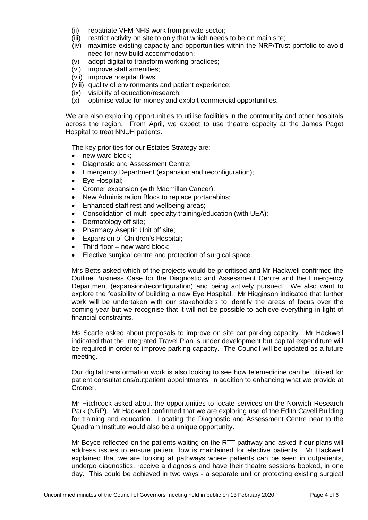- (ii) repatriate VFM NHS work from private sector;
- (iii) restrict activity on site to only that which needs to be on main site;
- (iv) maximise existing capacity and opportunities within the NRP/Trust portfolio to avoid need for new build accommodation;
- (v) adopt digital to transform working practices;
- (vi) improve staff amenities;
- (vii) improve hospital flows;
- (viii) quality of environments and patient experience;
- (ix) visibility of education/research;
- (x) optimise value for money and exploit commercial opportunities.

We are also exploring opportunities to utilise facilities in the community and other hospitals across the region. From April, we expect to use theatre capacity at the James Paget Hospital to treat NNUH patients.

The key priorities for our Estates Strategy are:

- new ward block;
- Diagnostic and Assessment Centre;
- Emergency Department (expansion and reconfiguration);
- Eye Hospital;
- Cromer expansion (with Macmillan Cancer);
- New Administration Block to replace portacabins;
- Enhanced staff rest and wellbeing areas;
- Consolidation of multi-specialty training/education (with UEA);
- Dermatology off site;
- Pharmacy Aseptic Unit off site;
- Expansion of Children's Hospital;
- Third floor new ward block;
- Elective surgical centre and protection of surgical space.

Mrs Betts asked which of the projects would be prioritised and Mr Hackwell confirmed the Outline Business Case for the Diagnostic and Assessment Centre and the Emergency Department (expansion/reconfiguration) and being actively pursued. We also want to explore the feasibility of building a new Eye Hospital. Mr Higginson indicated that further work will be undertaken with our stakeholders to identify the areas of focus over the coming year but we recognise that it will not be possible to achieve everything in light of financial constraints.

Ms Scarfe asked about proposals to improve on site car parking capacity. Mr Hackwell indicated that the Integrated Travel Plan is under development but capital expenditure will be required in order to improve parking capacity. The Council will be updated as a future meeting.

Our digital transformation work is also looking to see how telemedicine can be utilised for patient consultations/outpatient appointments, in addition to enhancing what we provide at Cromer.

Mr Hitchcock asked about the opportunities to locate services on the Norwich Research Park (NRP). Mr Hackwell confirmed that we are exploring use of the Edith Cavell Building for training and education. Locating the Diagnostic and Assessment Centre near to the Quadram Institute would also be a unique opportunity.

Mr Boyce reflected on the patients waiting on the RTT pathway and asked if our plans will address issues to ensure patient flow is maintained for elective patients. Mr Hackwell explained that we are looking at pathways where patients can be seen in outpatients, undergo diagnostics, receive a diagnosis and have their theatre sessions booked, in one day. This could be achieved in two ways - a separate unit or protecting existing surgical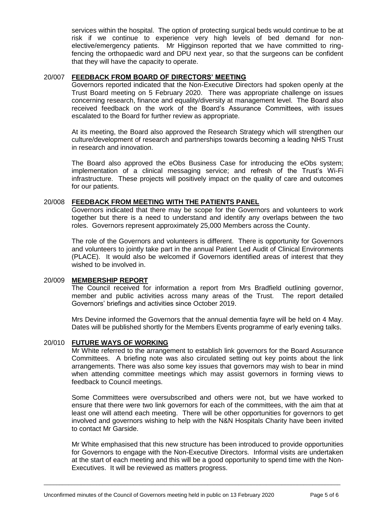services within the hospital. The option of protecting surgical beds would continue to be at risk if we continue to experience very high levels of bed demand for nonelective/emergency patients. Mr Higginson reported that we have committed to ringfencing the orthopaedic ward and DPU next year, so that the surgeons can be confident that they will have the capacity to operate.

# 20/007 **FEEDBACK FROM BOARD OF DIRECTORS' MEETING**

Governors reported indicated that the Non-Executive Directors had spoken openly at the Trust Board meeting on 5 February 2020. There was appropriate challenge on issues concerning research, finance and equality/diversity at management level. The Board also received feedback on the work of the Board's Assurance Committees, with issues escalated to the Board for further review as appropriate.

At its meeting, the Board also approved the Research Strategy which will strengthen our culture/development of research and partnerships towards becoming a leading NHS Trust in research and innovation.

The Board also approved the eObs Business Case for introducing the eObs system; implementation of a clinical messaging service; and refresh of the Trust's Wi-Fi infrastructure. These projects will positively impact on the quality of care and outcomes for our patients.

### 20/008 **FEEDBACK FROM MEETING WITH THE PATIENTS PANEL**

Governors indicated that there may be scope for the Governors and volunteers to work together but there is a need to understand and identify any overlaps between the two roles. Governors represent approximately 25,000 Members across the County.

The role of the Governors and volunteers is different. There is opportunity for Governors and volunteers to jointly take part in the annual Patient Led Audit of Clinical Environments (PLACE). It would also be welcomed if Governors identified areas of interest that they wished to be involved in.

## 20/009 **MEMBERSHIP REPORT**

The Council received for information a report from Mrs Bradfield outlining governor, member and public activities across many areas of the Trust. The report detailed Governors' briefings and activities since October 2019.

Mrs Devine informed the Governors that the annual dementia fayre will be held on 4 May. Dates will be published shortly for the Members Events programme of early evening talks.

#### 20/010 **FUTURE WAYS OF WORKING**

Mr White referred to the arrangement to establish link governors for the Board Assurance Committees. A briefing note was also circulated setting out key points about the link arrangements. There was also some key issues that governors may wish to bear in mind when attending committee meetings which may assist governors in forming views to feedback to Council meetings.

Some Committees were oversubscribed and others were not, but we have worked to ensure that there were two link governors for each of the committees, with the aim that at least one will attend each meeting. There will be other opportunities for governors to get involved and governors wishing to help with the N&N Hospitals Charity have been invited to contact Mr Garside.

Mr White emphasised that this new structure has been introduced to provide opportunities for Governors to engage with the Non-Executive Directors. Informal visits are undertaken at the start of each meeting and this will be a good opportunity to spend time with the Non-Executives. It will be reviewed as matters progress.